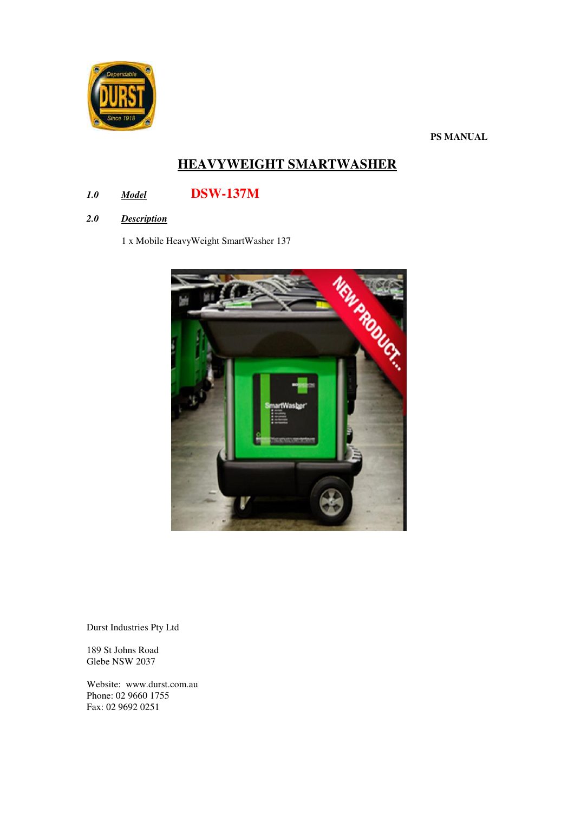

**PS MANUAL** 

# **HEAVYWEIGHT SMARTWASHER**

## *1.0 Model* **DSW-137M**

*2.0 Description* 

1 x Mobile HeavyWeight SmartWasher 137



Durst Industries Pty Ltd

189 St Johns Road Glebe NSW 2037

Website: www.durst.com.au Phone: 02 9660 1755 Fax: 02 9692 0251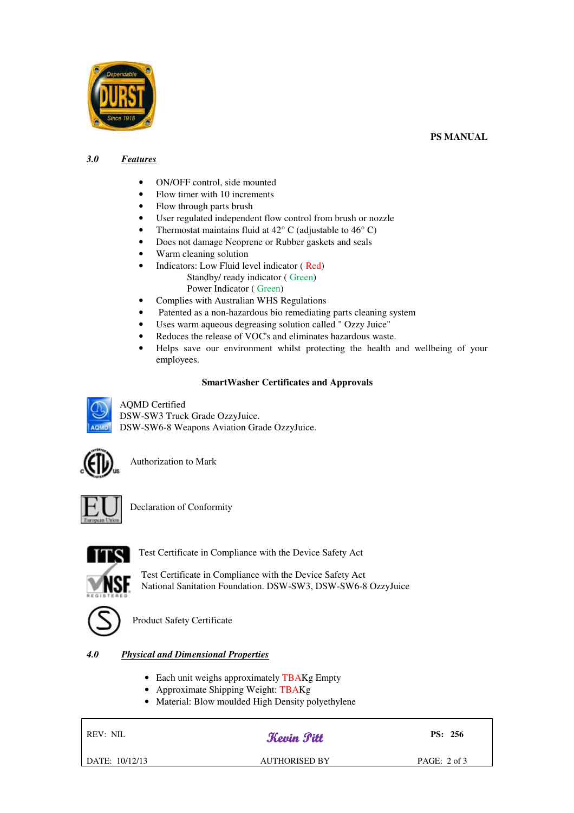



### *3.0 Features*

- ON/OFF control, side mounted
- Flow timer with 10 increments
- Flow through parts brush
- User regulated independent flow control from brush or nozzle
- Thermostat maintains fluid at  $42^{\circ}$  C (adjustable to  $46^{\circ}$  C)
- Does not damage Neoprene or Rubber gaskets and seals
- Warm cleaning solution
- Indicators: Low Fluid level indicator ( Red) Standby/ ready indicator ( Green)
	- Power Indicator ( Green)
- Complies with Australian WHS Regulations
- Patented as a non-hazardous bio remediating parts cleaning system
- Uses warm aqueous degreasing solution called " Ozzy Juice"
- Reduces the release of VOC's and eliminates hazardous waste.
- Helps save our environment whilst protecting the health and wellbeing of your employees.

## **SmartWasher Certificates and Approvals**

AQMD Certified DSW-SW3 Truck Grade OzzyJuice. DSW-SW6-8 Weapons Aviation Grade OzzyJuice.



Authorization to Mark



Declaration of Conformity



Test Certificate in Compliance with the Device Safety Act

 Test Certificate in Compliance with the Device Safety Act National Sanitation Foundation. DSW-SW3, DSW-SW6-8 OzzyJuice



Product Safety Certificate

## *4.0 Physical and Dimensional Properties*

- Each unit weighs approximately TBAKg Empty
- Approximate Shipping Weight: TBAKg
- Material: Blow moulded High Density polyethylene

REV: NIL

## *Kevin Pitt* PS: 256

DATE: 10/12/13 AUTHORISED BY PAGE: 2 of 3